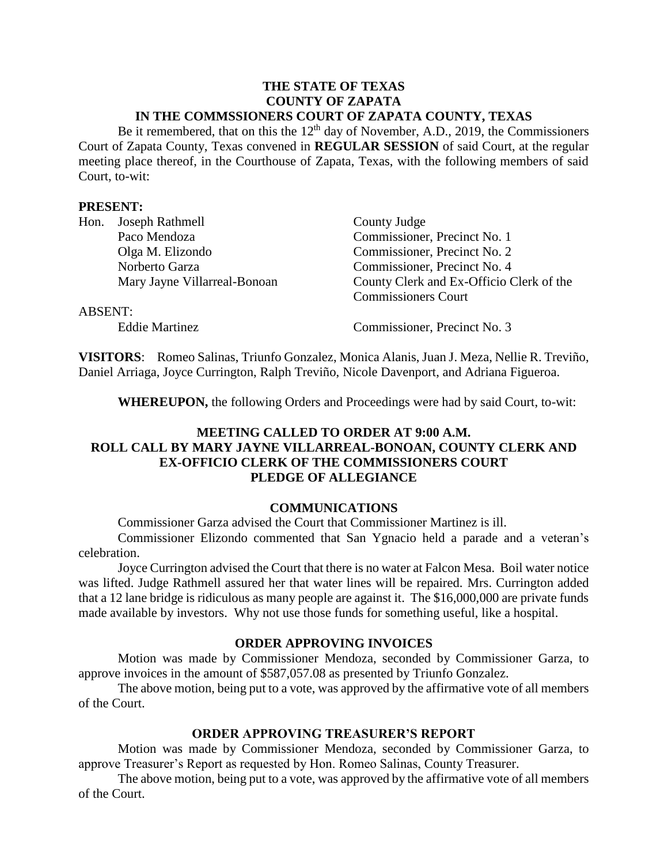#### **THE STATE OF TEXAS COUNTY OF ZAPATA IN THE COMMSSIONERS COURT OF ZAPATA COUNTY, TEXAS**

Be it remembered, that on this the  $12<sup>th</sup>$  day of November, A.D., 2019, the Commissioners Court of Zapata County, Texas convened in **REGULAR SESSION** of said Court, at the regular meeting place thereof, in the Courthouse of Zapata, Texas, with the following members of said Court, to-wit:

### **PRESENT:**

| Hon.           | Joseph Rathmell              | County Judge                             |
|----------------|------------------------------|------------------------------------------|
|                | Paco Mendoza                 | Commissioner, Precinct No. 1             |
|                | Olga M. Elizondo             | Commissioner, Precinct No. 2             |
|                | Norberto Garza               | Commissioner, Precinct No. 4             |
|                | Mary Jayne Villarreal-Bonoan | County Clerk and Ex-Officio Clerk of the |
|                |                              | <b>Commissioners Court</b>               |
| <b>ABSENT:</b> |                              |                                          |
|                | <b>Eddie Martinez</b>        | Commissioner, Precinct No. 3             |

**VISITORS**: Romeo Salinas, Triunfo Gonzalez, Monica Alanis, Juan J. Meza, Nellie R. Treviño, Daniel Arriaga, Joyce Currington, Ralph Treviño, Nicole Davenport, and Adriana Figueroa.

**WHEREUPON,** the following Orders and Proceedings were had by said Court, to-wit:

# **MEETING CALLED TO ORDER AT 9:00 A.M. ROLL CALL BY MARY JAYNE VILLARREAL-BONOAN, COUNTY CLERK AND EX-OFFICIO CLERK OF THE COMMISSIONERS COURT PLEDGE OF ALLEGIANCE**

#### **COMMUNICATIONS**

Commissioner Garza advised the Court that Commissioner Martinez is ill.

Commissioner Elizondo commented that San Ygnacio held a parade and a veteran's celebration.

Joyce Currington advised the Court that there is no water at Falcon Mesa. Boil water notice was lifted. Judge Rathmell assured her that water lines will be repaired. Mrs. Currington added that a 12 lane bridge is ridiculous as many people are against it. The \$16,000,000 are private funds made available by investors. Why not use those funds for something useful, like a hospital.

#### **ORDER APPROVING INVOICES**

Motion was made by Commissioner Mendoza, seconded by Commissioner Garza, to approve invoices in the amount of \$587,057.08 as presented by Triunfo Gonzalez.

The above motion, being put to a vote, was approved by the affirmative vote of all members of the Court.

### **ORDER APPROVING TREASURER'S REPORT**

Motion was made by Commissioner Mendoza, seconded by Commissioner Garza, to approve Treasurer's Report as requested by Hon. Romeo Salinas, County Treasurer.

The above motion, being put to a vote, was approved by the affirmative vote of all members of the Court.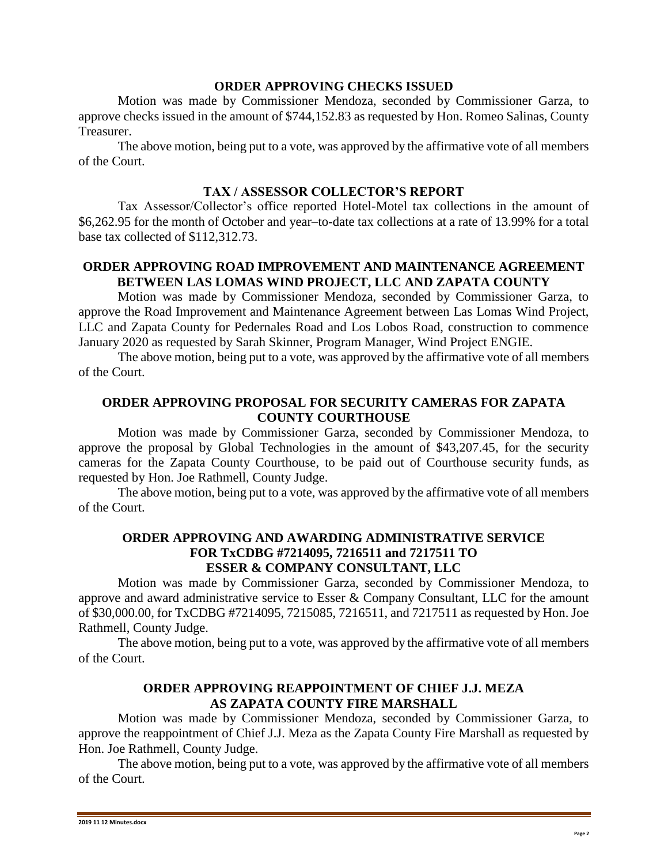## **ORDER APPROVING CHECKS ISSUED**

Motion was made by Commissioner Mendoza, seconded by Commissioner Garza, to approve checks issued in the amount of \$744,152.83 as requested by Hon. Romeo Salinas, County Treasurer.

The above motion, being put to a vote, was approved by the affirmative vote of all members of the Court.

### **TAX / ASSESSOR COLLECTOR'S REPORT**

Tax Assessor/Collector's office reported Hotel-Motel tax collections in the amount of \$6,262.95 for the month of October and year–to-date tax collections at a rate of 13.99% for a total base tax collected of \$112,312.73.

# **ORDER APPROVING ROAD IMPROVEMENT AND MAINTENANCE AGREEMENT BETWEEN LAS LOMAS WIND PROJECT, LLC AND ZAPATA COUNTY**

Motion was made by Commissioner Mendoza, seconded by Commissioner Garza, to approve the Road Improvement and Maintenance Agreement between Las Lomas Wind Project, LLC and Zapata County for Pedernales Road and Los Lobos Road, construction to commence January 2020 as requested by Sarah Skinner, Program Manager, Wind Project ENGIE.

The above motion, being put to a vote, was approved by the affirmative vote of all members of the Court.

## **ORDER APPROVING PROPOSAL FOR SECURITY CAMERAS FOR ZAPATA COUNTY COURTHOUSE**

Motion was made by Commissioner Garza, seconded by Commissioner Mendoza, to approve the proposal by Global Technologies in the amount of \$43,207.45, for the security cameras for the Zapata County Courthouse, to be paid out of Courthouse security funds, as requested by Hon. Joe Rathmell, County Judge.

The above motion, being put to a vote, was approved by the affirmative vote of all members of the Court.

### **ORDER APPROVING AND AWARDING ADMINISTRATIVE SERVICE FOR TxCDBG #7214095, 7216511 and 7217511 TO ESSER & COMPANY CONSULTANT, LLC**

Motion was made by Commissioner Garza, seconded by Commissioner Mendoza, to approve and award administrative service to Esser & Company Consultant, LLC for the amount of \$30,000.00, for TxCDBG #7214095, 7215085, 7216511, and 7217511 as requested by Hon. Joe Rathmell, County Judge.

The above motion, being put to a vote, was approved by the affirmative vote of all members of the Court.

#### **ORDER APPROVING REAPPOINTMENT OF CHIEF J.J. MEZA AS ZAPATA COUNTY FIRE MARSHALL**

Motion was made by Commissioner Mendoza, seconded by Commissioner Garza, to approve the reappointment of Chief J.J. Meza as the Zapata County Fire Marshall as requested by Hon. Joe Rathmell, County Judge.

The above motion, being put to a vote, was approved by the affirmative vote of all members of the Court.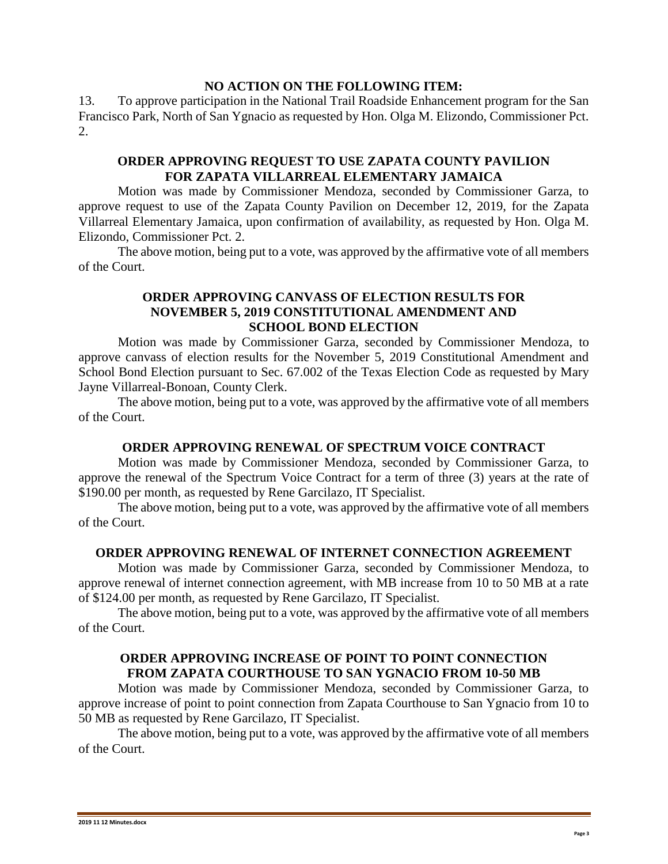### **NO ACTION ON THE FOLLOWING ITEM:**

13. To approve participation in the National Trail Roadside Enhancement program for the San Francisco Park, North of San Ygnacio as requested by Hon. Olga M. Elizondo, Commissioner Pct. 2.

### **ORDER APPROVING REQUEST TO USE ZAPATA COUNTY PAVILION FOR ZAPATA VILLARREAL ELEMENTARY JAMAICA**

Motion was made by Commissioner Mendoza, seconded by Commissioner Garza, to approve request to use of the Zapata County Pavilion on December 12, 2019, for the Zapata Villarreal Elementary Jamaica, upon confirmation of availability, as requested by Hon. Olga M. Elizondo, Commissioner Pct. 2.

The above motion, being put to a vote, was approved by the affirmative vote of all members of the Court.

### **ORDER APPROVING CANVASS OF ELECTION RESULTS FOR NOVEMBER 5, 2019 CONSTITUTIONAL AMENDMENT AND SCHOOL BOND ELECTION**

Motion was made by Commissioner Garza, seconded by Commissioner Mendoza, to approve canvass of election results for the November 5, 2019 Constitutional Amendment and School Bond Election pursuant to Sec. 67.002 of the Texas Election Code as requested by Mary Jayne Villarreal-Bonoan, County Clerk.

The above motion, being put to a vote, was approved by the affirmative vote of all members of the Court.

### **ORDER APPROVING RENEWAL OF SPECTRUM VOICE CONTRACT**

Motion was made by Commissioner Mendoza, seconded by Commissioner Garza, to approve the renewal of the Spectrum Voice Contract for a term of three (3) years at the rate of \$190.00 per month, as requested by Rene Garcilazo, IT Specialist.

The above motion, being put to a vote, was approved by the affirmative vote of all members of the Court.

### **ORDER APPROVING RENEWAL OF INTERNET CONNECTION AGREEMENT**

Motion was made by Commissioner Garza, seconded by Commissioner Mendoza, to approve renewal of internet connection agreement, with MB increase from 10 to 50 MB at a rate of \$124.00 per month, as requested by Rene Garcilazo, IT Specialist.

The above motion, being put to a vote, was approved by the affirmative vote of all members of the Court.

## **ORDER APPROVING INCREASE OF POINT TO POINT CONNECTION FROM ZAPATA COURTHOUSE TO SAN YGNACIO FROM 10-50 MB**

Motion was made by Commissioner Mendoza, seconded by Commissioner Garza, to approve increase of point to point connection from Zapata Courthouse to San Ygnacio from 10 to 50 MB as requested by Rene Garcilazo, IT Specialist.

The above motion, being put to a vote, was approved by the affirmative vote of all members of the Court.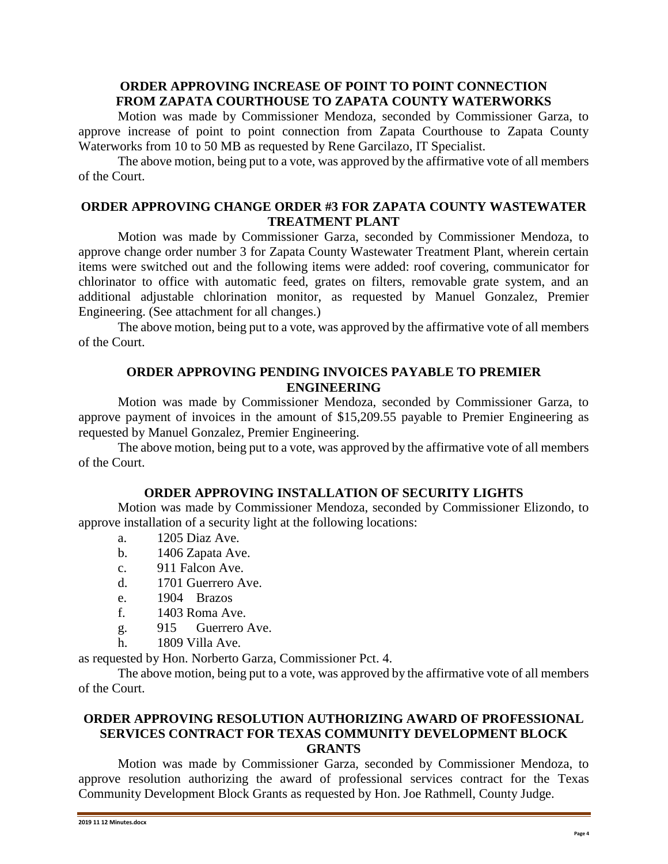### **ORDER APPROVING INCREASE OF POINT TO POINT CONNECTION FROM ZAPATA COURTHOUSE TO ZAPATA COUNTY WATERWORKS**

Motion was made by Commissioner Mendoza, seconded by Commissioner Garza, to approve increase of point to point connection from Zapata Courthouse to Zapata County Waterworks from 10 to 50 MB as requested by Rene Garcilazo, IT Specialist.

The above motion, being put to a vote, was approved by the affirmative vote of all members of the Court.

### **ORDER APPROVING CHANGE ORDER #3 FOR ZAPATA COUNTY WASTEWATER TREATMENT PLANT**

Motion was made by Commissioner Garza, seconded by Commissioner Mendoza, to approve change order number 3 for Zapata County Wastewater Treatment Plant, wherein certain items were switched out and the following items were added: roof covering, communicator for chlorinator to office with automatic feed, grates on filters, removable grate system, and an additional adjustable chlorination monitor, as requested by Manuel Gonzalez, Premier Engineering. (See attachment for all changes.)

The above motion, being put to a vote, was approved by the affirmative vote of all members of the Court.

## **ORDER APPROVING PENDING INVOICES PAYABLE TO PREMIER ENGINEERING**

Motion was made by Commissioner Mendoza, seconded by Commissioner Garza, to approve payment of invoices in the amount of \$15,209.55 payable to Premier Engineering as requested by Manuel Gonzalez, Premier Engineering.

The above motion, being put to a vote, was approved by the affirmative vote of all members of the Court.

### **ORDER APPROVING INSTALLATION OF SECURITY LIGHTS**

Motion was made by Commissioner Mendoza, seconded by Commissioner Elizondo, to approve installation of a security light at the following locations:

- a. 1205 Diaz Ave.
- b. 1406 Zapata Ave.
- c. 911 Falcon Ave.
- d. 1701 Guerrero Ave.
- e. 1904 Brazos
- f. 1403 Roma Ave.
- g. 915 Guerrero Ave.
- h. 1809 Villa Ave.

as requested by Hon. Norberto Garza, Commissioner Pct. 4.

The above motion, being put to a vote, was approved by the affirmative vote of all members of the Court.

#### **ORDER APPROVING RESOLUTION AUTHORIZING AWARD OF PROFESSIONAL SERVICES CONTRACT FOR TEXAS COMMUNITY DEVELOPMENT BLOCK GRANTS**

Motion was made by Commissioner Garza, seconded by Commissioner Mendoza, to approve resolution authorizing the award of professional services contract for the Texas Community Development Block Grants as requested by Hon. Joe Rathmell, County Judge.